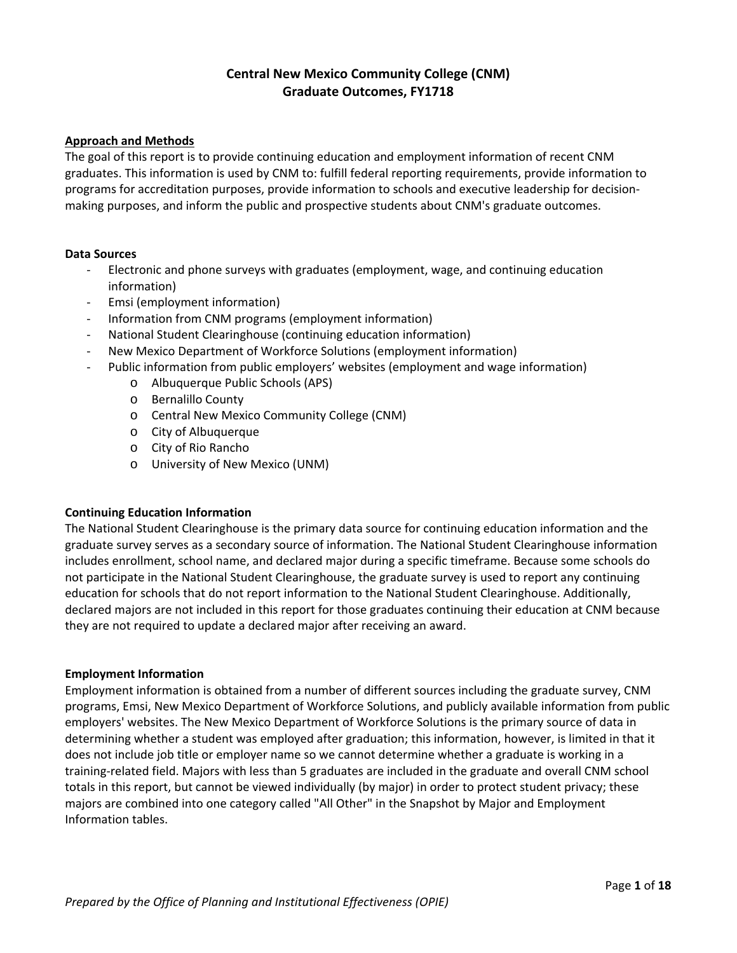## **Central New Mexico Community College (CNM) Graduate Outcomes, FY1718**

#### **Approach and Methods**

The goal of this report is to provide continuing education and employment information of recent CNM graduates. This information is used by CNM to: fulfill federal reporting requirements, provide information to programs for accreditation purposes, provide information to schools and executive leadership for decision‐ making purposes, and inform the public and prospective students about CNM's graduate outcomes.

#### **Data Sources**

- ‐ Electronic and phone surveys with graduates (employment, wage, and continuing education information)
- ‐ Emsi (employment information)
- ‐ Information from CNM programs (employment information)
- ‐ National Student Clearinghouse (continuing education information)
- ‐ New Mexico Department of Workforce Solutions (employment information)
- Public information from public employers' websites (employment and wage information)
	- o Albuquerque Public Schools (APS)
	- o Bernalillo County
	- o Central New Mexico Community College (CNM)
	- o City of Albuquerque
	- o City of Rio Rancho
	- o University of New Mexico (UNM)

### **Continuing Education Information**

The National Student Clearinghouse is the primary data source for continuing education information and the graduate survey serves as a secondary source of information. The National Student Clearinghouse information includes enrollment, school name, and declared major during a specific timeframe. Because some schools do not participate in the National Student Clearinghouse, the graduate survey is used to report any continuing education for schools that do not report information to the National Student Clearinghouse. Additionally, declared majors are not included in this report for those graduates continuing their education at CNM because they are not required to update a declared major after receiving an award.

#### **Employment Information**

Employment information is obtained from a number of different sources including the graduate survey, CNM programs, Emsi, New Mexico Department of Workforce Solutions, and publicly available information from public employers' websites. The New Mexico Department of Workforce Solutions is the primary source of data in determining whether a student was employed after graduation; this information, however, is limited in that it does not include job title or employer name so we cannot determine whether a graduate is working in a training‐related field. Majors with less than 5 graduates are included in the graduate and overall CNM school totals in this report, but cannot be viewed individually (by major) in order to protect student privacy; these majors are combined into one category called "All Other" in the Snapshot by Major and Employment Information tables.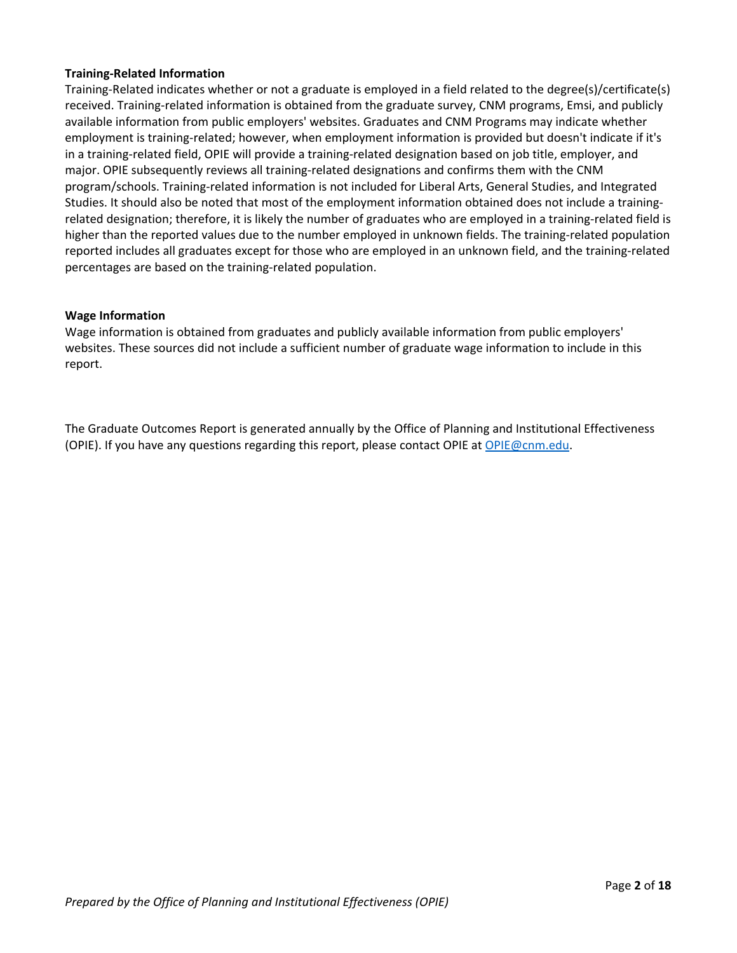#### **Training‐Related Information**

Training‐Related indicates whether or not a graduate is employed in a field related to the degree(s)/certificate(s) received. Training-related information is obtained from the graduate survey, CNM programs, Emsi, and publicly available information from public employers' websites. Graduates and CNM Programs may indicate whether employment is training-related; however, when employment information is provided but doesn't indicate if it's in a training‐related field, OPIE will provide a training‐related designation based on job title, employer, and major. OPIE subsequently reviews all training-related designations and confirms them with the CNM program/schools. Training‐related information is not included for Liberal Arts, General Studies, and Integrated Studies. It should also be noted that most of the employment information obtained does not include a training‐ related designation; therefore, it is likely the number of graduates who are employed in a training-related field is higher than the reported values due to the number employed in unknown fields. The training-related population reported includes all graduates except for those who are employed in an unknown field, and the training‐related percentages are based on the training‐related population.

#### **Wage Information**

Wage information is obtained from graduates and publicly available information from public employers' websites. These sources did not include a sufficient number of graduate wage information to include in this report.

The Graduate Outcomes Report is generated annually by the Office of Planning and Institutional Effectiveness (OPIE). If you have any questions regarding this report, please contact OPIE at OPIE@cnm.edu.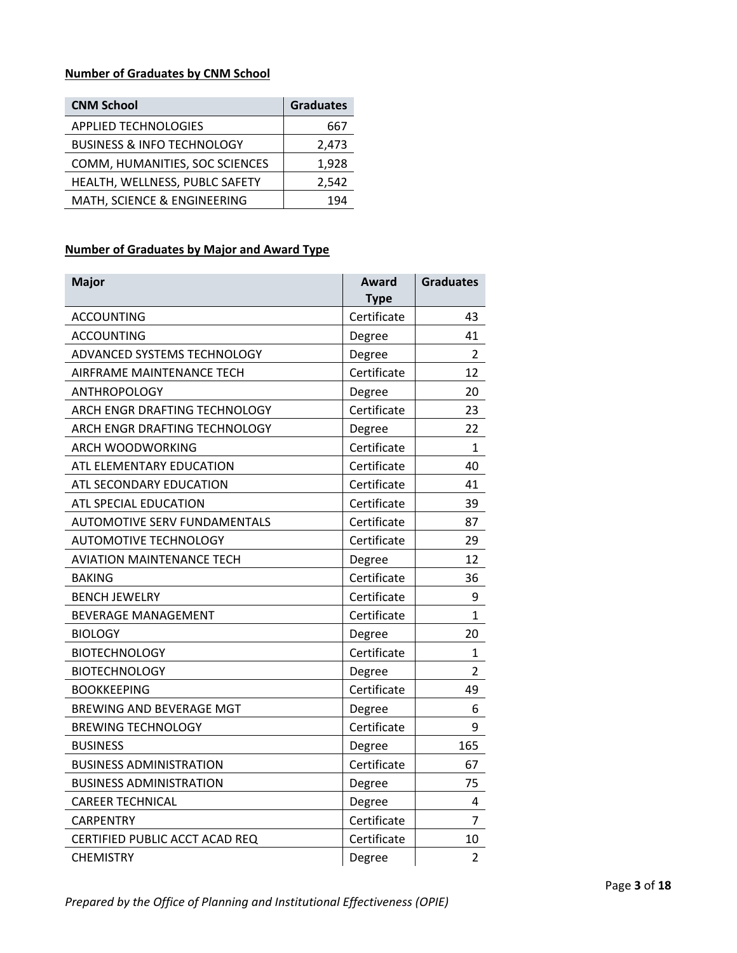### **Number of Graduates by CNM School**

| <b>CNM School</b>                     | <b>Graduates</b> |
|---------------------------------------|------------------|
| <b>APPLIED TECHNOLOGIES</b>           | 667              |
| <b>BUSINESS &amp; INFO TECHNOLOGY</b> | 2,473            |
| COMM, HUMANITIES, SOC SCIENCES        | 1,928            |
| HEALTH, WELLNESS, PUBLC SAFETY        | 2,542            |
| MATH, SCIENCE & ENGINEERING           | 194              |

### **Number of Graduates by Major and Award Type**

| <b>Major</b>                        | Award<br><b>Type</b> | <b>Graduates</b> |
|-------------------------------------|----------------------|------------------|
| <b>ACCOUNTING</b>                   | Certificate          | 43               |
| <b>ACCOUNTING</b>                   | Degree               | 41               |
| ADVANCED SYSTEMS TECHNOLOGY         | Degree               | $\overline{2}$   |
| AIRFRAME MAINTENANCE TECH           | Certificate          | 12               |
| ANTHROPOLOGY                        | Degree               | 20               |
| ARCH ENGR DRAFTING TECHNOLOGY       | Certificate          | 23               |
| ARCH ENGR DRAFTING TECHNOLOGY       | Degree               | 22               |
| ARCH WOODWORKING                    | Certificate          | $\mathbf{1}$     |
| ATL ELEMENTARY EDUCATION            | Certificate          | 40               |
| ATL SECONDARY EDUCATION             | Certificate          | 41               |
| ATL SPECIAL EDUCATION               | Certificate          | 39               |
| <b>AUTOMOTIVE SERV FUNDAMENTALS</b> | Certificate          | 87               |
| <b>AUTOMOTIVE TECHNOLOGY</b>        | Certificate          | 29               |
| <b>AVIATION MAINTENANCE TECH</b>    | Degree               | 12               |
| <b>BAKING</b>                       | Certificate          | 36               |
| <b>BENCH JEWELRY</b>                | Certificate          | 9                |
| <b>BEVERAGE MANAGEMENT</b>          | Certificate          | $\mathbf{1}$     |
| <b>BIOLOGY</b>                      | Degree               | 20               |
| <b>BIOTECHNOLOGY</b>                | Certificate          | $\mathbf{1}$     |
| <b>BIOTECHNOLOGY</b>                | Degree               | $\overline{2}$   |
| <b>BOOKKEEPING</b>                  | Certificate          | 49               |
| BREWING AND BEVERAGE MGT            | Degree               | 6                |
| <b>BREWING TECHNOLOGY</b>           | Certificate          | 9                |
| <b>BUSINESS</b>                     | Degree               | 165              |
| <b>BUSINESS ADMINISTRATION</b>      | Certificate          | 67               |
| <b>BUSINESS ADMINISTRATION</b>      | Degree               | 75               |
| <b>CAREER TECHNICAL</b>             | Degree               | 4                |
| CARPENTRY                           | Certificate          | 7                |
| CERTIFIED PUBLIC ACCT ACAD REQ      | Certificate          | 10               |
| <b>CHEMISTRY</b>                    | Degree               | $\overline{2}$   |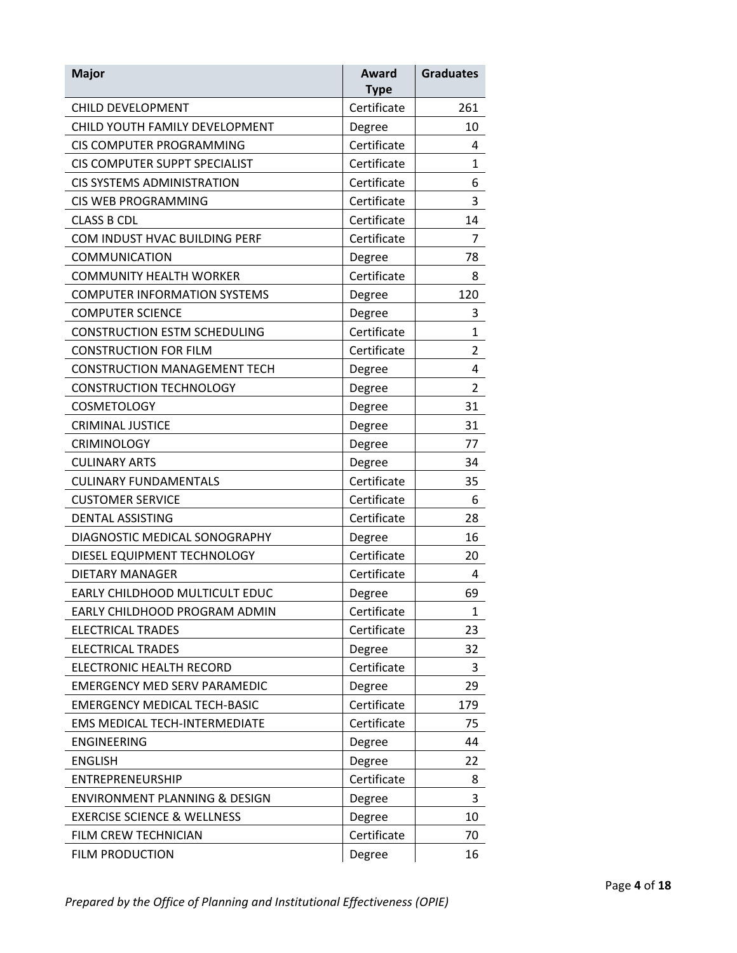| <b>Major</b>                             | Award<br><b>Type</b> | <b>Graduates</b> |
|------------------------------------------|----------------------|------------------|
| <b>CHILD DEVELOPMENT</b>                 | Certificate          | 261              |
| CHILD YOUTH FAMILY DEVELOPMENT           | Degree               | 10               |
| CIS COMPUTER PROGRAMMING                 | Certificate          | 4                |
| CIS COMPUTER SUPPT SPECIALIST            | Certificate          | 1                |
| <b>CIS SYSTEMS ADMINISTRATION</b>        | Certificate          | 6                |
| <b>CIS WEB PROGRAMMING</b>               | Certificate          | 3                |
| <b>CLASS B CDL</b>                       | Certificate          | 14               |
| COM INDUST HVAC BUILDING PERF            | Certificate          | $\overline{7}$   |
| <b>COMMUNICATION</b>                     | Degree               | 78               |
| <b>COMMUNITY HEALTH WORKER</b>           | Certificate          | 8                |
| <b>COMPUTER INFORMATION SYSTEMS</b>      | Degree               | 120              |
| <b>COMPUTER SCIENCE</b>                  | Degree               | 3                |
| <b>CONSTRUCTION ESTM SCHEDULING</b>      | Certificate          | $\mathbf{1}$     |
| <b>CONSTRUCTION FOR FILM</b>             | Certificate          | $\overline{2}$   |
| <b>CONSTRUCTION MANAGEMENT TECH</b>      | Degree               | 4                |
| <b>CONSTRUCTION TECHNOLOGY</b>           | Degree               | $\overline{2}$   |
| <b>COSMETOLOGY</b>                       | Degree               | 31               |
| <b>CRIMINAL JUSTICE</b>                  | Degree               | 31               |
| <b>CRIMINOLOGY</b>                       | Degree               | 77               |
| <b>CULINARY ARTS</b>                     | Degree               | 34               |
| <b>CULINARY FUNDAMENTALS</b>             | Certificate          | 35               |
| <b>CUSTOMER SERVICE</b>                  | Certificate          | 6                |
| DENTAL ASSISTING                         | Certificate          | 28               |
| DIAGNOSTIC MEDICAL SONOGRAPHY            | Degree               | 16               |
| DIESEL EQUIPMENT TECHNOLOGY              | Certificate          | 20               |
| <b>DIETARY MANAGER</b>                   | Certificate          | 4                |
| EARLY CHILDHOOD MULTICULT EDUC           | Degree               | 69               |
| EARLY CHILDHOOD PROGRAM ADMIN            | Certificate          | 1                |
| <b>ELECTRICAL TRADES</b>                 | Certificate          | 23               |
| <b>ELECTRICAL TRADES</b>                 | Degree               | 32               |
| ELECTRONIC HEALTH RECORD                 | Certificate          | 3                |
| <b>EMERGENCY MED SERV PARAMEDIC</b>      | Degree               | 29               |
| <b>EMERGENCY MEDICAL TECH-BASIC</b>      | Certificate          | 179              |
| <b>EMS MEDICAL TECH-INTERMEDIATE</b>     | Certificate          | 75               |
| <b>ENGINEERING</b>                       | Degree               | 44               |
| <b>ENGLISH</b>                           | Degree               | 22               |
| ENTREPRENEURSHIP                         | Certificate          | 8                |
| <b>ENVIRONMENT PLANNING &amp; DESIGN</b> | Degree               | 3                |
| <b>EXERCISE SCIENCE &amp; WELLNESS</b>   | Degree               | 10               |
| FILM CREW TECHNICIAN                     | Certificate          | 70               |
| <b>FILM PRODUCTION</b>                   | Degree               | 16               |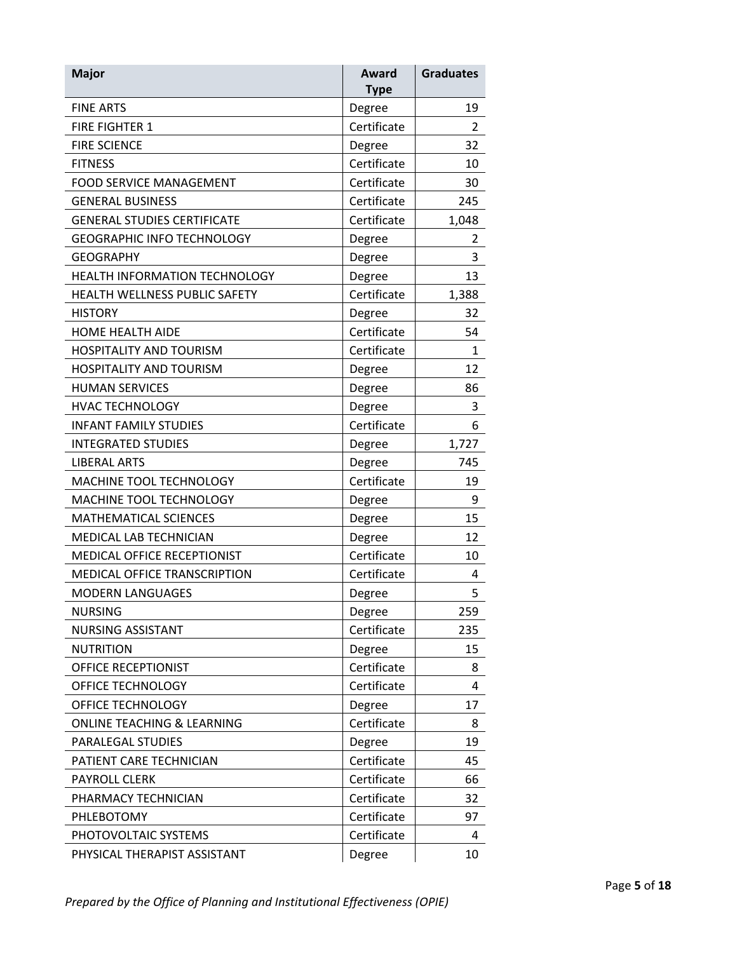| <b>Major</b>                        | Award<br><b>Type</b> | <b>Graduates</b> |
|-------------------------------------|----------------------|------------------|
| <b>FINE ARTS</b>                    | Degree               | 19               |
| <b>FIRE FIGHTER 1</b>               | Certificate          | $\overline{2}$   |
| <b>FIRE SCIENCE</b>                 | Degree               | 32               |
| <b>FITNESS</b>                      | Certificate          | 10               |
| <b>FOOD SERVICE MANAGEMENT</b>      | Certificate          | 30               |
| <b>GENERAL BUSINESS</b>             | Certificate          | 245              |
| <b>GENERAL STUDIES CERTIFICATE</b>  | Certificate          | 1,048            |
| <b>GEOGRAPHIC INFO TECHNOLOGY</b>   | Degree               | 2                |
| <b>GEOGRAPHY</b>                    | Degree               | 3                |
| HEALTH INFORMATION TECHNOLOGY       | Degree               | 13               |
| HEALTH WELLNESS PUBLIC SAFETY       | Certificate          | 1,388            |
| <b>HISTORY</b>                      | Degree               | 32               |
| <b>HOME HEALTH AIDE</b>             | Certificate          | 54               |
| <b>HOSPITALITY AND TOURISM</b>      | Certificate          | 1                |
| <b>HOSPITALITY AND TOURISM</b>      | Degree               | 12               |
| <b>HUMAN SERVICES</b>               | Degree               | 86               |
| <b>HVAC TECHNOLOGY</b>              | Degree               | 3                |
| <b>INFANT FAMILY STUDIES</b>        | Certificate          | 6                |
| <b>INTEGRATED STUDIES</b>           | Degree               | 1,727            |
| <b>LIBERAL ARTS</b>                 | Degree               | 745              |
| MACHINE TOOL TECHNOLOGY             | Certificate          | 19               |
| MACHINE TOOL TECHNOLOGY             | Degree               | 9                |
| <b>MATHEMATICAL SCIENCES</b>        | Degree               | 15               |
| MEDICAL LAB TECHNICIAN              | Degree               | 12               |
| MEDICAL OFFICE RECEPTIONIST         | Certificate          | 10               |
| <b>MEDICAL OFFICE TRANSCRIPTION</b> | Certificate          | 4                |
| <b>MODERN LANGUAGES</b>             | Degree               | 5                |
| <b>NURSING</b>                      | Degree               | 259              |
| <b>NURSING ASSISTANT</b>            | Certificate          | 235              |
| <b>NUTRITION</b>                    | Degree               | 15               |
| OFFICE RECEPTIONIST                 | Certificate          | 8                |
| OFFICE TECHNOLOGY                   | Certificate          | 4                |
| OFFICE TECHNOLOGY                   | Degree               | 17               |
| ONLINE TEACHING & LEARNING          | Certificate          | 8                |
| PARALEGAL STUDIES                   | Degree               | 19               |
| PATIENT CARE TECHNICIAN             | Certificate          | 45               |
| <b>PAYROLL CLERK</b>                | Certificate          | 66               |
| PHARMACY TECHNICIAN                 | Certificate          | 32               |
| PHLEBOTOMY                          | Certificate          | 97               |
| PHOTOVOLTAIC SYSTEMS                | Certificate          | 4                |
| PHYSICAL THERAPIST ASSISTANT        | Degree               | 10               |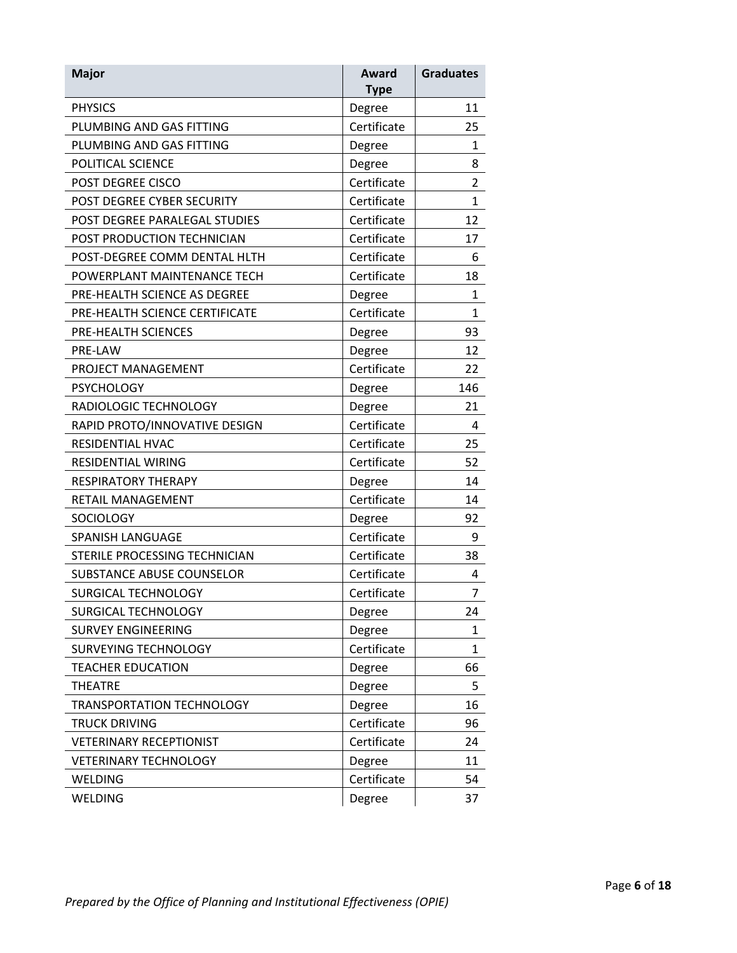| <b>Major</b>                     | Award<br><b>Type</b> | <b>Graduates</b> |
|----------------------------------|----------------------|------------------|
| <b>PHYSICS</b>                   | Degree               | 11               |
| PLUMBING AND GAS FITTING         | Certificate          | 25               |
| PLUMBING AND GAS FITTING         | Degree               | 1                |
| POLITICAL SCIENCE                | Degree               | 8                |
| <b>POST DEGREE CISCO</b>         | Certificate          | $\overline{2}$   |
| POST DEGREE CYBER SECURITY       | Certificate          | $\mathbf{1}$     |
| POST DEGREE PARALEGAL STUDIES    | Certificate          | 12               |
| POST PRODUCTION TECHNICIAN       | Certificate          | 17               |
| POST-DEGREE COMM DENTAL HLTH     | Certificate          | 6                |
| POWERPLANT MAINTENANCE TECH      | Certificate          | 18               |
| PRE-HEALTH SCIENCE AS DEGREE     | Degree               | $\mathbf{1}$     |
| PRE-HEALTH SCIENCE CERTIFICATE   | Certificate          | $\mathbf{1}$     |
| PRE-HEALTH SCIENCES              | Degree               | 93               |
| PRE-LAW                          | Degree               | 12               |
| PROJECT MANAGEMENT               | Certificate          | 22               |
| <b>PSYCHOLOGY</b>                | Degree               | 146              |
| RADIOLOGIC TECHNOLOGY            | Degree               | 21               |
| RAPID PROTO/INNOVATIVE DESIGN    | Certificate          | 4                |
| RESIDENTIAL HVAC                 | Certificate          | 25               |
| <b>RESIDENTIAL WIRING</b>        | Certificate          | 52               |
| <b>RESPIRATORY THERAPY</b>       | Degree               | 14               |
| RETAIL MANAGEMENT                | Certificate          | 14               |
| <b>SOCIOLOGY</b>                 | Degree               | 92               |
| <b>SPANISH LANGUAGE</b>          | Certificate          | 9                |
| STERILE PROCESSING TECHNICIAN    | Certificate          | 38               |
| <b>SUBSTANCE ABUSE COUNSELOR</b> | Certificate          | 4                |
| SURGICAL TECHNOLOGY              | Certificate          | 7                |
| SURGICAL TECHNOLOGY              | Degree               | 24               |
| <b>SURVEY ENGINEERING</b>        | Degree               | 1                |
| SURVEYING TECHNOLOGY             | Certificate          | $\mathbf{1}$     |
| <b>TEACHER EDUCATION</b>         | Degree               | 66               |
| <b>THEATRE</b>                   | Degree               | 5                |
| TRANSPORTATION TECHNOLOGY        | Degree               | 16               |
| <b>TRUCK DRIVING</b>             | Certificate          | 96               |
| <b>VETERINARY RECEPTIONIST</b>   | Certificate          | 24               |
| <b>VETERINARY TECHNOLOGY</b>     | Degree               | 11               |
| <b>WELDING</b>                   | Certificate          | 54               |
| <b>WELDING</b>                   | Degree               | 37               |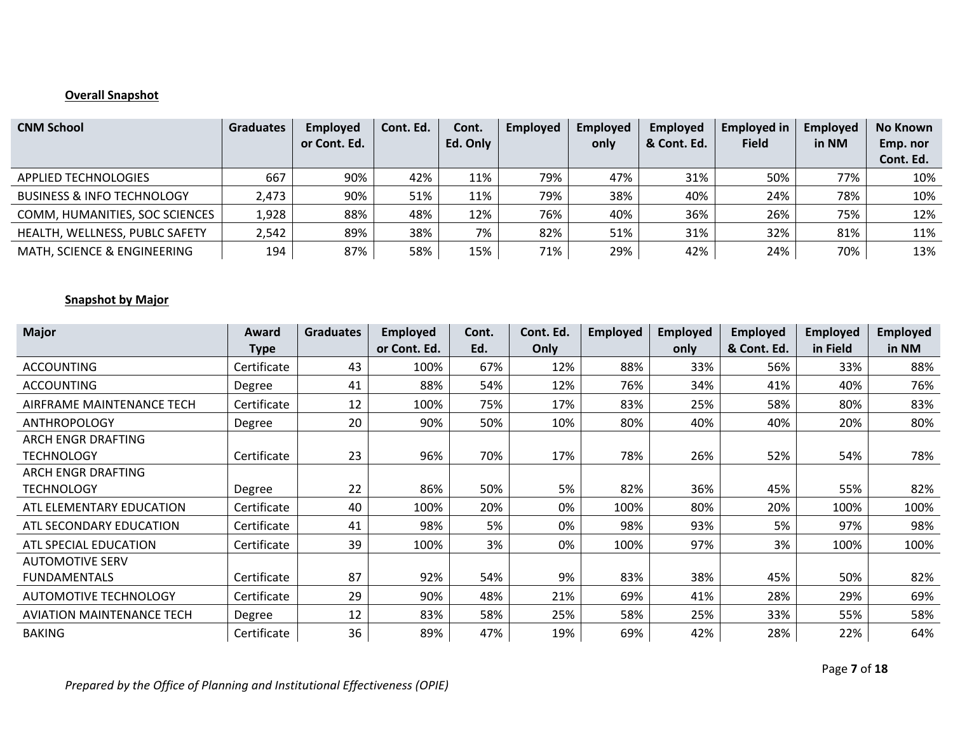# **Overall Snapshot**

| <b>CNM School</b>                     | <b>Graduates</b> | Employed<br>or Cont. Ed. | Cont. Ed. | Cont.<br>Ed. Only | Employed | <b>Employed</b><br>only | <b>Employed</b><br>& Cont. Ed. | <b>Employed in</b><br><b>Field</b> | <b>Employed</b><br>in NM | No Known<br>Emp. nor<br>Cont. Ed. |
|---------------------------------------|------------------|--------------------------|-----------|-------------------|----------|-------------------------|--------------------------------|------------------------------------|--------------------------|-----------------------------------|
| <b>APPLIED TECHNOLOGIES</b>           | 667              | 90%                      | 42%       | 11%               | 79%      | 47%                     | 31%                            | 50%                                | 77%                      | 10%                               |
| <b>BUSINESS &amp; INFO TECHNOLOGY</b> | 2,473            | 90%                      | 51%       | 11%               | 79%      | 38%                     | 40%                            | 24%                                | 78%                      | 10%                               |
| COMM, HUMANITIES, SOC SCIENCES        | 1,928            | 88%                      | 48%       | 12%               | 76%      | 40%                     | 36%                            | 26%                                | 75%                      | 12%                               |
| HEALTH, WELLNESS, PUBLC SAFETY        | 2,542            | 89%                      | 38%       | 7%                | 82%      | 51%                     | 31%                            | 32%                                | 81%                      | 11%                               |
| MATH, SCIENCE & ENGINEERING           | 194              | 87%                      | 58%       | 15%               | 71%      | 29%                     | 42%                            | 24%                                | 70%                      | 13%                               |

### **Snapshot by Major**

| <b>Major</b>                            | Award<br><b>Type</b> | <b>Graduates</b> | <b>Employed</b><br>or Cont. Ed. | Cont.<br>Ed. | Cont. Ed.<br>Only | <b>Employed</b> | <b>Employed</b><br>only | <b>Employed</b><br>& Cont. Ed. | <b>Employed</b><br>in Field | <b>Employed</b><br>in NM |
|-----------------------------------------|----------------------|------------------|---------------------------------|--------------|-------------------|-----------------|-------------------------|--------------------------------|-----------------------------|--------------------------|
| <b>ACCOUNTING</b>                       | Certificate          | 43               | 100%                            | 67%          | 12%               | 88%             | 33%                     | 56%                            | 33%                         | 88%                      |
| <b>ACCOUNTING</b>                       | Degree               | 41               | 88%                             | 54%          | 12%               | 76%             | 34%                     | 41%                            | 40%                         | 76%                      |
| AIRFRAME MAINTENANCE TECH               | Certificate          | 12               | 100%                            | 75%          | 17%               | 83%             | 25%                     | 58%                            | 80%                         | 83%                      |
| <b>ANTHROPOLOGY</b>                     | Degree               | 20               | 90%                             | 50%          | 10%               | 80%             | 40%                     | 40%                            | 20%                         | 80%                      |
| ARCH ENGR DRAFTING<br><b>TECHNOLOGY</b> | Certificate          | 23               | 96%                             | 70%          | 17%               | 78%             | 26%                     | 52%                            | 54%                         | 78%                      |
| <b>ARCH ENGR DRAFTING</b>               |                      |                  |                                 |              |                   |                 |                         |                                |                             |                          |
| <b>TECHNOLOGY</b>                       | Degree               | 22               | 86%                             | 50%          | 5%                | 82%             | 36%                     | 45%                            | 55%                         | 82%                      |
| ATL ELEMENTARY EDUCATION                | Certificate          | 40               | 100%                            | 20%          | 0%                | 100%            | 80%                     | 20%                            | 100%                        | 100%                     |
| ATL SECONDARY EDUCATION                 | Certificate          | 41               | 98%                             | 5%           | 0%                | 98%             | 93%                     | 5%                             | 97%                         | 98%                      |
| ATL SPECIAL EDUCATION                   | Certificate          | 39               | 100%                            | 3%           | 0%                | 100%            | 97%                     | 3%                             | 100%                        | 100%                     |
| <b>AUTOMOTIVE SERV</b>                  |                      |                  |                                 |              |                   |                 |                         |                                |                             |                          |
| <b>FUNDAMENTALS</b>                     | Certificate          | 87               | 92%                             | 54%          | 9%                | 83%             | 38%                     | 45%                            | 50%                         | 82%                      |
| <b>AUTOMOTIVE TECHNOLOGY</b>            | Certificate          | 29               | 90%                             | 48%          | 21%               | 69%             | 41%                     | 28%                            | 29%                         | 69%                      |
| <b>AVIATION MAINTENANCE TECH</b>        | Degree               | 12               | 83%                             | 58%          | 25%               | 58%             | 25%                     | 33%                            | 55%                         | 58%                      |
| <b>BAKING</b>                           | Certificate          | 36               | 89%                             | 47%          | 19%               | 69%             | 42%                     | 28%                            | 22%                         | 64%                      |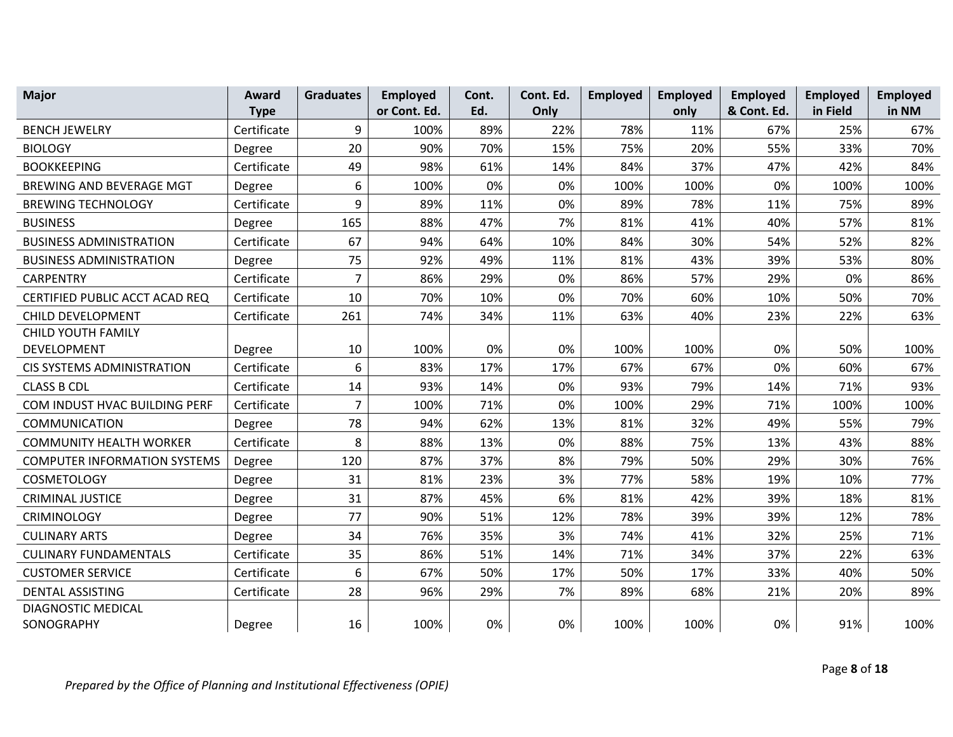| <b>Major</b>                        | Award       | <b>Graduates</b> | <b>Employed</b> | Cont. | Cont. Ed. | Employed | Employed | <b>Employed</b> | <b>Employed</b> | Employed |
|-------------------------------------|-------------|------------------|-----------------|-------|-----------|----------|----------|-----------------|-----------------|----------|
|                                     | <b>Type</b> |                  | or Cont. Ed.    | Ed.   | Only      |          | only     | & Cont. Ed.     | in Field        | in NM    |
| <b>BENCH JEWELRY</b>                | Certificate | 9                | 100%            | 89%   | 22%       | 78%      | 11%      | 67%             | 25%             | 67%      |
| <b>BIOLOGY</b>                      | Degree      | 20               | 90%             | 70%   | 15%       | 75%      | 20%      | 55%             | 33%             | 70%      |
| <b>BOOKKEEPING</b>                  | Certificate | 49               | 98%             | 61%   | 14%       | 84%      | 37%      | 47%             | 42%             | 84%      |
| BREWING AND BEVERAGE MGT            | Degree      | 6                | 100%            | 0%    | 0%        | 100%     | 100%     | 0%              | 100%            | 100%     |
| <b>BREWING TECHNOLOGY</b>           | Certificate | 9                | 89%             | 11%   | 0%        | 89%      | 78%      | 11%             | 75%             | 89%      |
| <b>BUSINESS</b>                     | Degree      | 165              | 88%             | 47%   | 7%        | 81%      | 41%      | 40%             | 57%             | 81%      |
| <b>BUSINESS ADMINISTRATION</b>      | Certificate | 67               | 94%             | 64%   | 10%       | 84%      | 30%      | 54%             | 52%             | 82%      |
| <b>BUSINESS ADMINISTRATION</b>      | Degree      | 75               | 92%             | 49%   | 11%       | 81%      | 43%      | 39%             | 53%             | 80%      |
| <b>CARPENTRY</b>                    | Certificate | 7                | 86%             | 29%   | 0%        | 86%      | 57%      | 29%             | 0%              | 86%      |
| CERTIFIED PUBLIC ACCT ACAD REQ      | Certificate | 10               | 70%             | 10%   | 0%        | 70%      | 60%      | 10%             | 50%             | 70%      |
| CHILD DEVELOPMENT                   | Certificate | 261              | 74%             | 34%   | 11%       | 63%      | 40%      | 23%             | 22%             | 63%      |
| <b>CHILD YOUTH FAMILY</b>           |             |                  |                 |       |           |          |          |                 |                 |          |
| DEVELOPMENT                         | Degree      | 10               | 100%            | 0%    | 0%        | 100%     | 100%     | 0%              | 50%             | 100%     |
| <b>CIS SYSTEMS ADMINISTRATION</b>   | Certificate | 6                | 83%             | 17%   | 17%       | 67%      | 67%      | 0%              | 60%             | 67%      |
| <b>CLASS B CDL</b>                  | Certificate | 14               | 93%             | 14%   | 0%        | 93%      | 79%      | 14%             | 71%             | 93%      |
| COM INDUST HVAC BUILDING PERF       | Certificate | $\overline{7}$   | 100%            | 71%   | 0%        | 100%     | 29%      | 71%             | 100%            | 100%     |
| <b>COMMUNICATION</b>                | Degree      | 78               | 94%             | 62%   | 13%       | 81%      | 32%      | 49%             | 55%             | 79%      |
| <b>COMMUNITY HEALTH WORKER</b>      | Certificate | 8                | 88%             | 13%   | 0%        | 88%      | 75%      | 13%             | 43%             | 88%      |
| <b>COMPUTER INFORMATION SYSTEMS</b> | Degree      | 120              | 87%             | 37%   | 8%        | 79%      | 50%      | 29%             | 30%             | 76%      |
| <b>COSMETOLOGY</b>                  | Degree      | 31               | 81%             | 23%   | 3%        | 77%      | 58%      | 19%             | 10%             | 77%      |
| <b>CRIMINAL JUSTICE</b>             | Degree      | 31               | 87%             | 45%   | 6%        | 81%      | 42%      | 39%             | 18%             | 81%      |
| <b>CRIMINOLOGY</b>                  | Degree      | 77               | 90%             | 51%   | 12%       | 78%      | 39%      | 39%             | 12%             | 78%      |
| <b>CULINARY ARTS</b>                | Degree      | 34               | 76%             | 35%   | 3%        | 74%      | 41%      | 32%             | 25%             | 71%      |
| <b>CULINARY FUNDAMENTALS</b>        | Certificate | 35               | 86%             | 51%   | 14%       | 71%      | 34%      | 37%             | 22%             | 63%      |
| <b>CUSTOMER SERVICE</b>             | Certificate | 6                | 67%             | 50%   | 17%       | 50%      | 17%      | 33%             | 40%             | 50%      |
| <b>DENTAL ASSISTING</b>             | Certificate | 28               | 96%             | 29%   | 7%        | 89%      | 68%      | 21%             | 20%             | 89%      |
| DIAGNOSTIC MEDICAL                  |             |                  |                 |       |           |          |          |                 |                 |          |
| SONOGRAPHY                          | Degree      | 16               | 100%            | 0%    | 0%        | 100%     | 100%     | 0%              | 91%             | 100%     |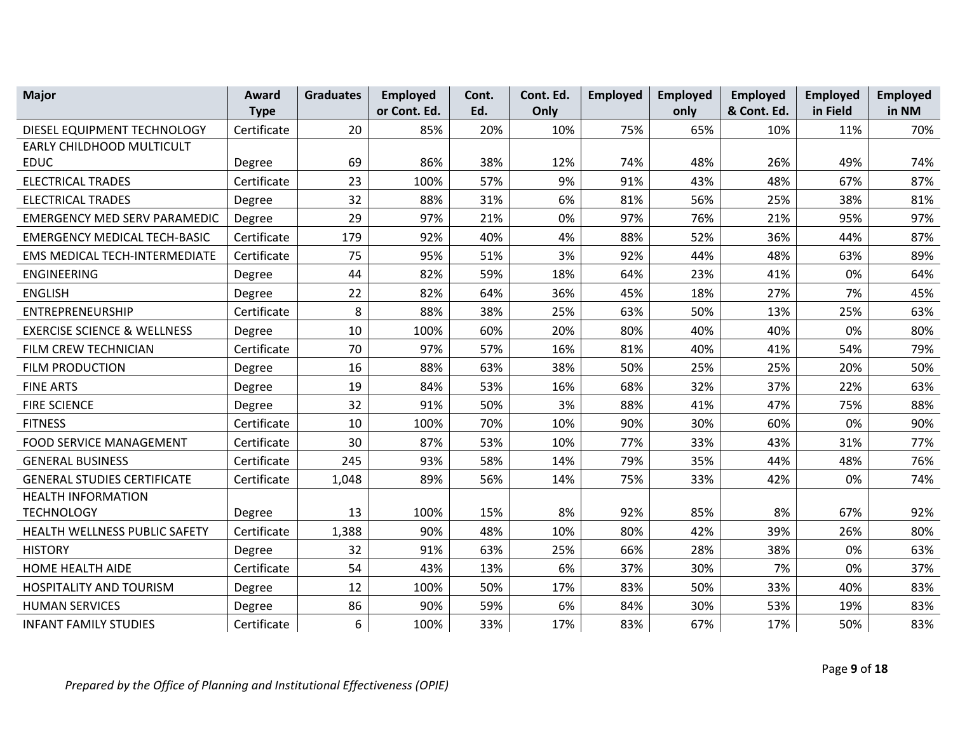| <b>Major</b>                           | Award       | <b>Graduates</b> | <b>Employed</b> | Cont. | Cont. Ed. | Employed | <b>Employed</b> | <b>Employed</b> | <b>Employed</b> | Employed |
|----------------------------------------|-------------|------------------|-----------------|-------|-----------|----------|-----------------|-----------------|-----------------|----------|
|                                        | <b>Type</b> |                  | or Cont. Ed.    | Ed.   | Only      |          | only            | & Cont. Ed.     | in Field        | in NM    |
| DIESEL EQUIPMENT TECHNOLOGY            | Certificate | 20               | 85%             | 20%   | 10%       | 75%      | 65%             | 10%             | 11%             | 70%      |
| EARLY CHILDHOOD MULTICULT              |             |                  |                 |       |           |          |                 |                 |                 |          |
| <b>EDUC</b>                            | Degree      | 69               | 86%             | 38%   | 12%       | 74%      | 48%             | 26%             | 49%             | 74%      |
| <b>ELECTRICAL TRADES</b>               | Certificate | 23               | 100%            | 57%   | 9%        | 91%      | 43%             | 48%             | 67%             | 87%      |
| <b>ELECTRICAL TRADES</b>               | Degree      | 32               | 88%             | 31%   | 6%        | 81%      | 56%             | 25%             | 38%             | 81%      |
| <b>EMERGENCY MED SERV PARAMEDIC</b>    | Degree      | 29               | 97%             | 21%   | 0%        | 97%      | 76%             | 21%             | 95%             | 97%      |
| <b>EMERGENCY MEDICAL TECH-BASIC</b>    | Certificate | 179              | 92%             | 40%   | 4%        | 88%      | 52%             | 36%             | 44%             | 87%      |
| EMS MEDICAL TECH-INTERMEDIATE          | Certificate | 75               | 95%             | 51%   | 3%        | 92%      | 44%             | 48%             | 63%             | 89%      |
| <b>ENGINEERING</b>                     | Degree      | 44               | 82%             | 59%   | 18%       | 64%      | 23%             | 41%             | 0%              | 64%      |
| <b>ENGLISH</b>                         | Degree      | 22               | 82%             | 64%   | 36%       | 45%      | 18%             | 27%             | 7%              | 45%      |
| ENTREPRENEURSHIP                       | Certificate | 8                | 88%             | 38%   | 25%       | 63%      | 50%             | 13%             | 25%             | 63%      |
| <b>EXERCISE SCIENCE &amp; WELLNESS</b> | Degree      | 10               | 100%            | 60%   | 20%       | 80%      | 40%             | 40%             | 0%              | 80%      |
| FILM CREW TECHNICIAN                   | Certificate | 70               | 97%             | 57%   | 16%       | 81%      | 40%             | 41%             | 54%             | 79%      |
| <b>FILM PRODUCTION</b>                 | Degree      | 16               | 88%             | 63%   | 38%       | 50%      | 25%             | 25%             | 20%             | 50%      |
| <b>FINE ARTS</b>                       | Degree      | 19               | 84%             | 53%   | 16%       | 68%      | 32%             | 37%             | 22%             | 63%      |
| <b>FIRE SCIENCE</b>                    | Degree      | 32               | 91%             | 50%   | 3%        | 88%      | 41%             | 47%             | 75%             | 88%      |
| <b>FITNESS</b>                         | Certificate | 10               | 100%            | 70%   | 10%       | 90%      | 30%             | 60%             | 0%              | 90%      |
| <b>FOOD SERVICE MANAGEMENT</b>         | Certificate | 30               | 87%             | 53%   | 10%       | 77%      | 33%             | 43%             | 31%             | 77%      |
| <b>GENERAL BUSINESS</b>                | Certificate | 245              | 93%             | 58%   | 14%       | 79%      | 35%             | 44%             | 48%             | 76%      |
| <b>GENERAL STUDIES CERTIFICATE</b>     | Certificate | 1,048            | 89%             | 56%   | 14%       | 75%      | 33%             | 42%             | 0%              | 74%      |
| <b>HEALTH INFORMATION</b>              |             |                  |                 |       |           |          |                 |                 |                 |          |
| <b>TECHNOLOGY</b>                      | Degree      | 13               | 100%            | 15%   | 8%        | 92%      | 85%             | 8%              | 67%             | 92%      |
| HEALTH WELLNESS PUBLIC SAFETY          | Certificate | 1,388            | 90%             | 48%   | 10%       | 80%      | 42%             | 39%             | 26%             | 80%      |
| <b>HISTORY</b>                         | Degree      | 32               | 91%             | 63%   | 25%       | 66%      | 28%             | 38%             | 0%              | 63%      |
| HOME HEALTH AIDE                       | Certificate | 54               | 43%             | 13%   | 6%        | 37%      | 30%             | 7%              | 0%              | 37%      |
| HOSPITALITY AND TOURISM                | Degree      | 12               | 100%            | 50%   | 17%       | 83%      | 50%             | 33%             | 40%             | 83%      |
| <b>HUMAN SERVICES</b>                  | Degree      | 86               | 90%             | 59%   | 6%        | 84%      | 30%             | 53%             | 19%             | 83%      |
| <b>INFANT FAMILY STUDIES</b>           | Certificate | 6                | 100%            | 33%   | 17%       | 83%      | 67%             | 17%             | 50%             | 83%      |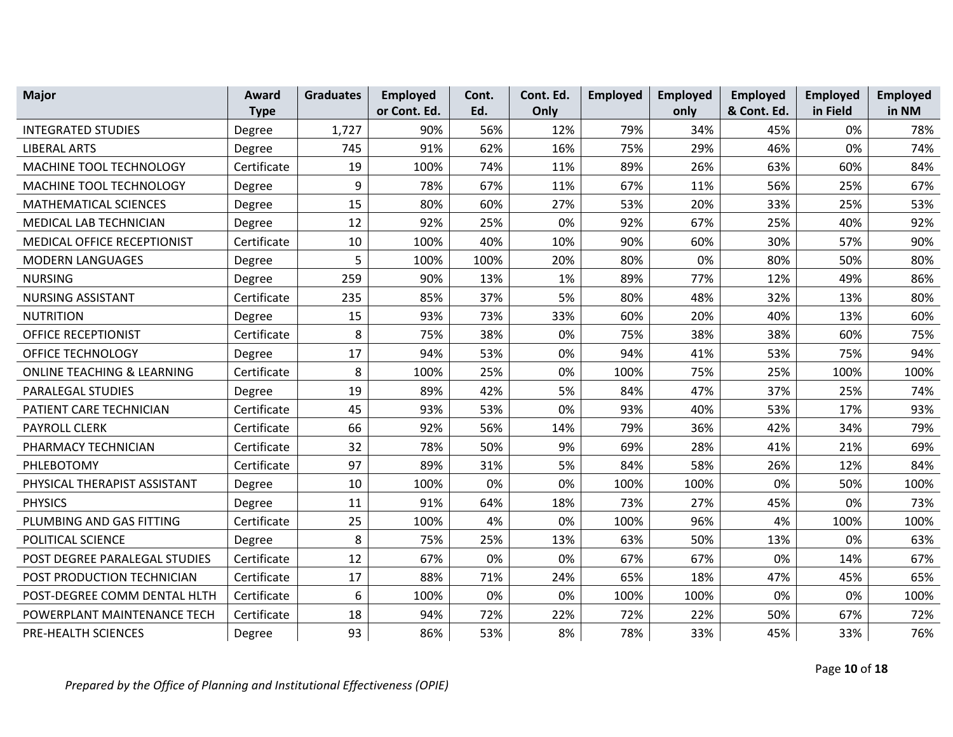| <b>Major</b>                          | Award       | <b>Graduates</b> | <b>Employed</b> | Cont. | Cont. Ed. | Employed | <b>Employed</b> | Employed    | Employed | <b>Employed</b> |
|---------------------------------------|-------------|------------------|-----------------|-------|-----------|----------|-----------------|-------------|----------|-----------------|
|                                       | <b>Type</b> |                  | or Cont. Ed.    | Ed.   | Only      |          | only            | & Cont. Ed. | in Field | in NM           |
| <b>INTEGRATED STUDIES</b>             | Degree      | 1,727            | 90%             | 56%   | 12%       | 79%      | 34%             | 45%         | 0%       | 78%             |
| <b>LIBERAL ARTS</b>                   | Degree      | 745              | 91%             | 62%   | 16%       | 75%      | 29%             | 46%         | 0%       | 74%             |
| MACHINE TOOL TECHNOLOGY               | Certificate | 19               | 100%            | 74%   | 11%       | 89%      | 26%             | 63%         | 60%      | 84%             |
| MACHINE TOOL TECHNOLOGY               | Degree      | 9                | 78%             | 67%   | 11%       | 67%      | 11%             | 56%         | 25%      | 67%             |
| <b>MATHEMATICAL SCIENCES</b>          | Degree      | 15               | 80%             | 60%   | 27%       | 53%      | 20%             | 33%         | 25%      | 53%             |
| <b>MEDICAL LAB TECHNICIAN</b>         | Degree      | 12               | 92%             | 25%   | 0%        | 92%      | 67%             | 25%         | 40%      | 92%             |
| MEDICAL OFFICE RECEPTIONIST           | Certificate | 10               | 100%            | 40%   | 10%       | 90%      | 60%             | 30%         | 57%      | 90%             |
| <b>MODERN LANGUAGES</b>               | Degree      | 5                | 100%            | 100%  | 20%       | 80%      | 0%              | 80%         | 50%      | 80%             |
| <b>NURSING</b>                        | Degree      | 259              | 90%             | 13%   | 1%        | 89%      | 77%             | 12%         | 49%      | 86%             |
| <b>NURSING ASSISTANT</b>              | Certificate | 235              | 85%             | 37%   | 5%        | 80%      | 48%             | 32%         | 13%      | 80%             |
| <b>NUTRITION</b>                      | Degree      | 15               | 93%             | 73%   | 33%       | 60%      | 20%             | 40%         | 13%      | 60%             |
| <b>OFFICE RECEPTIONIST</b>            | Certificate | 8                | 75%             | 38%   | 0%        | 75%      | 38%             | 38%         | 60%      | 75%             |
| OFFICE TECHNOLOGY                     | Degree      | 17               | 94%             | 53%   | 0%        | 94%      | 41%             | 53%         | 75%      | 94%             |
| <b>ONLINE TEACHING &amp; LEARNING</b> | Certificate | 8                | 100%            | 25%   | 0%        | 100%     | 75%             | 25%         | 100%     | 100%            |
| <b>PARALEGAL STUDIES</b>              | Degree      | 19               | 89%             | 42%   | 5%        | 84%      | 47%             | 37%         | 25%      | 74%             |
| PATIENT CARE TECHNICIAN               | Certificate | 45               | 93%             | 53%   | 0%        | 93%      | 40%             | 53%         | 17%      | 93%             |
| PAYROLL CLERK                         | Certificate | 66               | 92%             | 56%   | 14%       | 79%      | 36%             | 42%         | 34%      | 79%             |
| PHARMACY TECHNICIAN                   | Certificate | 32               | 78%             | 50%   | 9%        | 69%      | 28%             | 41%         | 21%      | 69%             |
| PHLEBOTOMY                            | Certificate | 97               | 89%             | 31%   | 5%        | 84%      | 58%             | 26%         | 12%      | 84%             |
| PHYSICAL THERAPIST ASSISTANT          | Degree      | 10               | 100%            | 0%    | 0%        | 100%     | 100%            | 0%          | 50%      | 100%            |
| <b>PHYSICS</b>                        | Degree      | 11               | 91%             | 64%   | 18%       | 73%      | 27%             | 45%         | 0%       | 73%             |
| PLUMBING AND GAS FITTING              | Certificate | 25               | 100%            | 4%    | 0%        | 100%     | 96%             | 4%          | 100%     | 100%            |
| POLITICAL SCIENCE                     | Degree      | 8                | 75%             | 25%   | 13%       | 63%      | 50%             | 13%         | 0%       | 63%             |
| POST DEGREE PARALEGAL STUDIES         | Certificate | 12               | 67%             | 0%    | 0%        | 67%      | 67%             | 0%          | 14%      | 67%             |
| POST PRODUCTION TECHNICIAN            | Certificate | 17               | 88%             | 71%   | 24%       | 65%      | 18%             | 47%         | 45%      | 65%             |
| POST-DEGREE COMM DENTAL HLTH          | Certificate | 6                | 100%            | 0%    | 0%        | 100%     | 100%            | 0%          | 0%       | 100%            |
| POWERPLANT MAINTENANCE TECH           | Certificate | 18               | 94%             | 72%   | 22%       | 72%      | 22%             | 50%         | 67%      | 72%             |
| PRE-HEALTH SCIENCES                   | Degree      | 93               | 86%             | 53%   | 8%        | 78%      | 33%             | 45%         | 33%      | 76%             |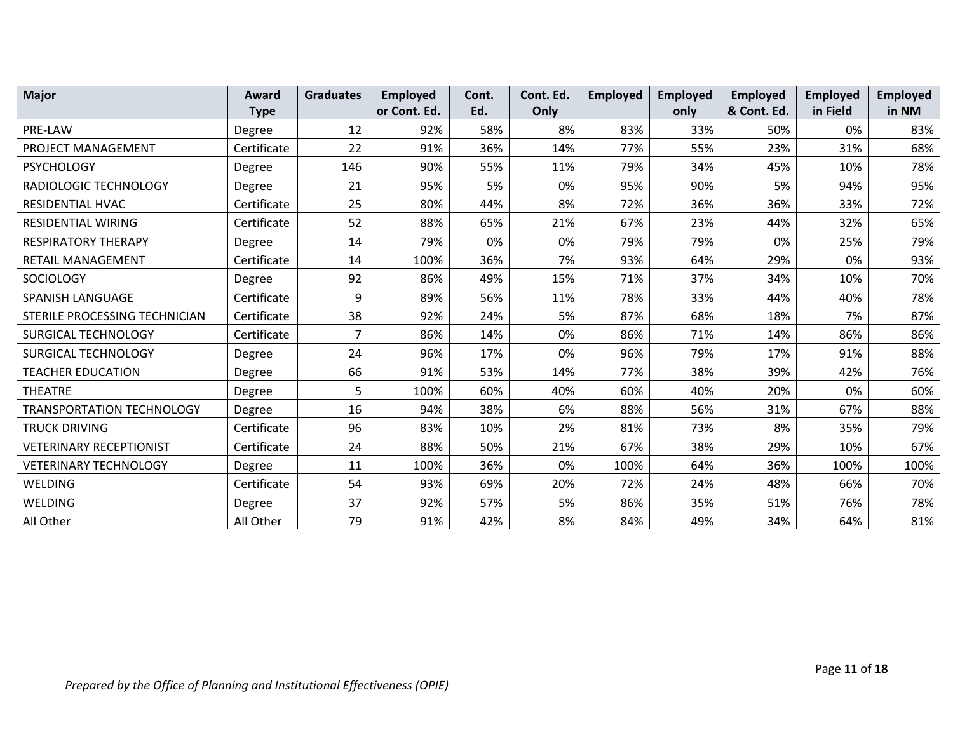| <b>Major</b>                   | Award       | <b>Graduates</b> | <b>Employed</b> | Cont. | Cont. Ed. | <b>Employed</b> | <b>Employed</b> | <b>Employed</b> | <b>Employed</b> | <b>Employed</b> |
|--------------------------------|-------------|------------------|-----------------|-------|-----------|-----------------|-----------------|-----------------|-----------------|-----------------|
|                                | <b>Type</b> |                  | or Cont. Ed.    | Ed.   | Only      |                 | only            | & Cont. Ed.     | in Field        | in NM           |
| <b>PRE-LAW</b>                 | Degree      | 12               | 92%             | 58%   | 8%        | 83%             | 33%             | 50%             | 0%              | 83%             |
| PROJECT MANAGEMENT             | Certificate | 22               | 91%             | 36%   | 14%       | 77%             | 55%             | 23%             | 31%             | 68%             |
| <b>PSYCHOLOGY</b>              | Degree      | 146              | 90%             | 55%   | 11%       | 79%             | 34%             | 45%             | 10%             | 78%             |
| RADIOLOGIC TECHNOLOGY          | Degree      | 21               | 95%             | 5%    | 0%        | 95%             | 90%             | 5%              | 94%             | 95%             |
| RESIDENTIAL HVAC               | Certificate | 25               | 80%             | 44%   | 8%        | 72%             | 36%             | 36%             | 33%             | 72%             |
| <b>RESIDENTIAL WIRING</b>      | Certificate | 52               | 88%             | 65%   | 21%       | 67%             | 23%             | 44%             | 32%             | 65%             |
| <b>RESPIRATORY THERAPY</b>     | Degree      | 14               | 79%             | 0%    | 0%        | 79%             | 79%             | 0%              | 25%             | 79%             |
| RETAIL MANAGEMENT              | Certificate | 14               | 100%            | 36%   | 7%        | 93%             | 64%             | 29%             | 0%              | 93%             |
| <b>SOCIOLOGY</b>               | Degree      | 92               | 86%             | 49%   | 15%       | 71%             | 37%             | 34%             | 10%             | 70%             |
| SPANISH LANGUAGE               | Certificate | 9                | 89%             | 56%   | 11%       | 78%             | 33%             | 44%             | 40%             | 78%             |
| STERILE PROCESSING TECHNICIAN  | Certificate | 38               | 92%             | 24%   | 5%        | 87%             | 68%             | 18%             | 7%              | 87%             |
| <b>SURGICAL TECHNOLOGY</b>     | Certificate | 7                | 86%             | 14%   | 0%        | 86%             | 71%             | 14%             | 86%             | 86%             |
| <b>SURGICAL TECHNOLOGY</b>     | Degree      | 24               | 96%             | 17%   | 0%        | 96%             | 79%             | 17%             | 91%             | 88%             |
| <b>TEACHER EDUCATION</b>       | Degree      | 66               | 91%             | 53%   | 14%       | 77%             | 38%             | 39%             | 42%             | 76%             |
| <b>THEATRE</b>                 | Degree      | 5                | 100%            | 60%   | 40%       | 60%             | 40%             | 20%             | 0%              | 60%             |
| TRANSPORTATION TECHNOLOGY      | Degree      | 16               | 94%             | 38%   | 6%        | 88%             | 56%             | 31%             | 67%             | 88%             |
| <b>TRUCK DRIVING</b>           | Certificate | 96               | 83%             | 10%   | 2%        | 81%             | 73%             | 8%              | 35%             | 79%             |
| <b>VETERINARY RECEPTIONIST</b> | Certificate | 24               | 88%             | 50%   | 21%       | 67%             | 38%             | 29%             | 10%             | 67%             |
| <b>VETERINARY TECHNOLOGY</b>   | Degree      | 11               | 100%            | 36%   | 0%        | 100%            | 64%             | 36%             | 100%            | 100%            |
| WELDING                        | Certificate | 54               | 93%             | 69%   | 20%       | 72%             | 24%             | 48%             | 66%             | 70%             |
| WELDING                        | Degree      | 37               | 92%             | 57%   | 5%        | 86%             | 35%             | 51%             | 76%             | 78%             |
| All Other                      | All Other   | 79               | 91%             | 42%   | 8%        | 84%             | 49%             | 34%             | 64%             | 81%             |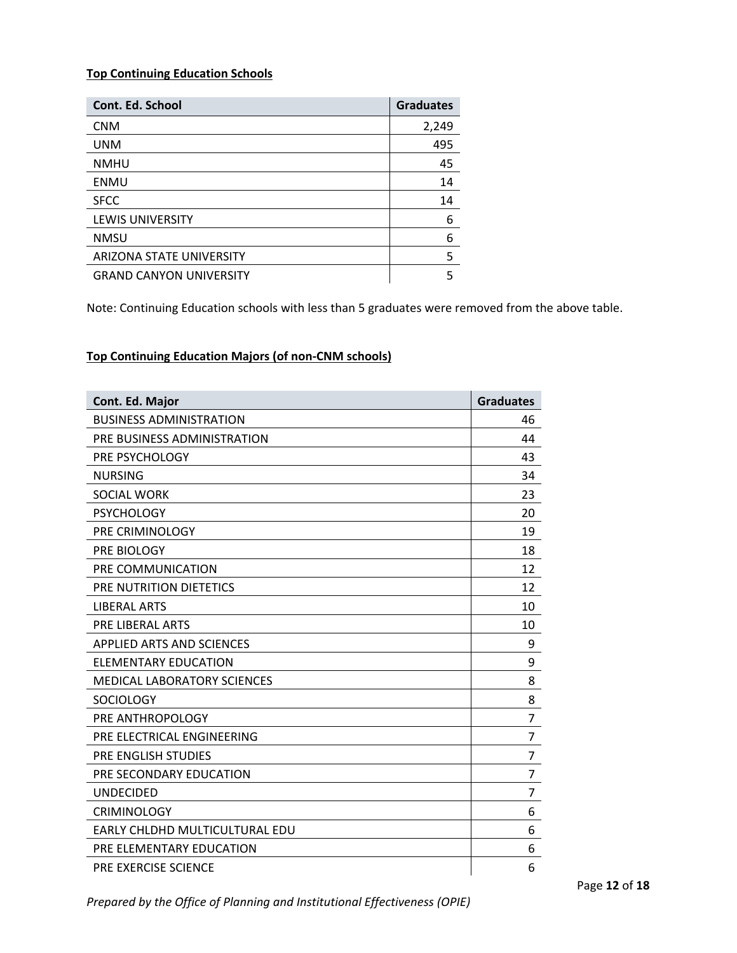### **Top Continuing Education Schools**

| Cont. Ed. School                | <b>Graduates</b> |
|---------------------------------|------------------|
| <b>CNM</b>                      | 2,249            |
| <b>UNM</b>                      | 495              |
| <b>NMHU</b>                     | 45               |
| <b>ENMU</b>                     | 14               |
| <b>SFCC</b>                     | 14               |
| <b>LEWIS UNIVERSITY</b>         | 6                |
| <b>NMSU</b>                     | 6                |
| <b>ARIZONA STATE UNIVERSITY</b> | 5                |
| <b>GRAND CANYON UNIVERSITY</b>  | 5                |

Note: Continuing Education schools with less than 5 graduates were removed from the above table.

# **Top Continuing Education Majors (of non‐CNM schools)**

| Cont. Ed. Major                    | <b>Graduates</b> |
|------------------------------------|------------------|
| <b>BUSINESS ADMINISTRATION</b>     | 46               |
| PRE BUSINESS ADMINISTRATION        | 44               |
| PRE PSYCHOLOGY                     | 43               |
| <b>NURSING</b>                     | 34               |
| <b>SOCIAL WORK</b>                 | 23               |
| <b>PSYCHOLOGY</b>                  | 20               |
| PRE CRIMINOLOGY                    | 19               |
| PRE BIOLOGY                        | 18               |
| PRE COMMUNICATION                  | 12               |
| PRE NUTRITION DIETETICS            | 12               |
| <b>LIBERAL ARTS</b>                | 10               |
| <b>PRE LIBERAL ARTS</b>            | 10               |
| <b>APPLIED ARTS AND SCIENCES</b>   | 9                |
| <b>ELEMENTARY EDUCATION</b>        | 9                |
| <b>MEDICAL LABORATORY SCIENCES</b> | 8                |
| <b>SOCIOLOGY</b>                   | 8                |
| PRE ANTHROPOLOGY                   | 7                |
| PRE ELECTRICAL ENGINEERING         | 7                |
| PRE ENGLISH STUDIES                | 7                |
| PRE SECONDARY EDUCATION            | 7                |
| <b>UNDECIDED</b>                   | 7                |
| <b>CRIMINOLOGY</b>                 | 6                |
| EARLY CHLDHD MULTICULTURAL EDU     | 6                |
| PRE ELEMENTARY EDUCATION           | 6                |
| <b>PRE EXERCISE SCIENCE</b>        | 6                |

*Prepared by the Office of Planning and Institutional Effectiveness (OPIE)*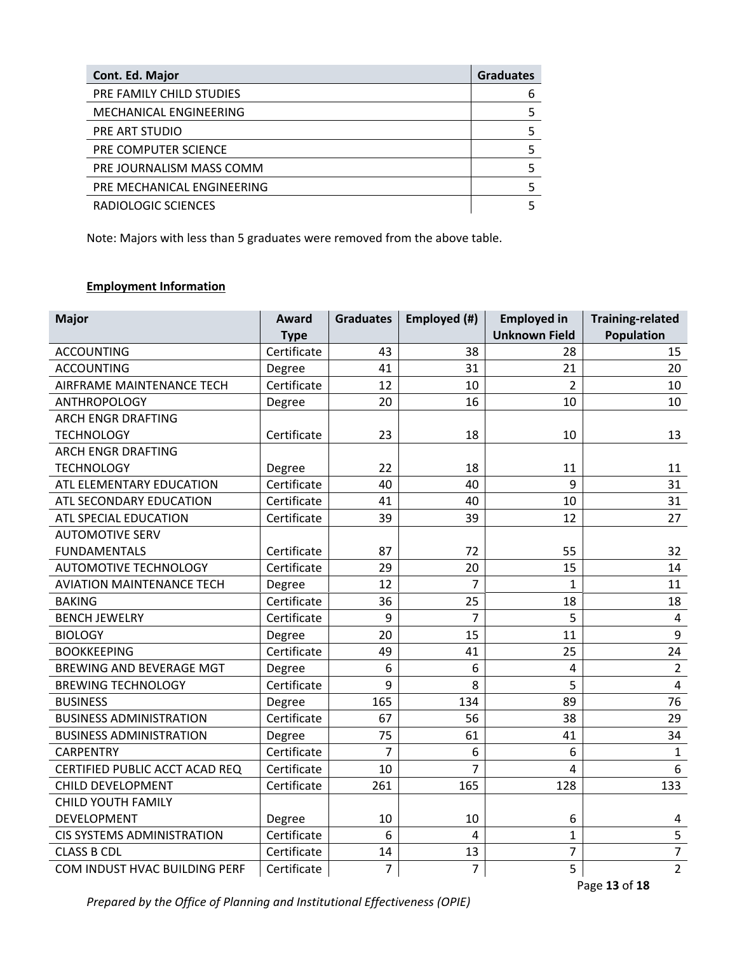| Cont. Ed. Major            | <b>Graduates</b> |
|----------------------------|------------------|
| PRE FAMILY CHILD STUDIES   | 6                |
| MECHANICAL ENGINEERING     |                  |
| PRE ART STUDIO             |                  |
| PRE COMPUTER SCIENCE       |                  |
| PRE JOURNALISM MASS COMM   |                  |
| PRE MECHANICAL ENGINEERING |                  |
| RADIOLOGIC SCIENCES        |                  |

Note: Majors with less than 5 graduates were removed from the above table.

# **Employment Information**

| <b>Major</b>                      | <b>Award</b><br><b>Type</b> | <b>Graduates</b> | Employed (#)   | <b>Employed in</b><br><b>Unknown Field</b> | <b>Training-related</b><br><b>Population</b> |
|-----------------------------------|-----------------------------|------------------|----------------|--------------------------------------------|----------------------------------------------|
| <b>ACCOUNTING</b>                 | Certificate                 | 43               | 38             | 28                                         | 15                                           |
| <b>ACCOUNTING</b>                 | Degree                      | 41               | 31             | 21                                         | 20                                           |
| AIRFRAME MAINTENANCE TECH         | Certificate                 | 12               | 10             | $\overline{2}$                             | 10                                           |
| <b>ANTHROPOLOGY</b>               | Degree                      | 20               | 16             | 10                                         | 10                                           |
| <b>ARCH ENGR DRAFTING</b>         |                             |                  |                |                                            |                                              |
| <b>TECHNOLOGY</b>                 | Certificate                 | 23               | 18             | 10                                         | 13                                           |
| <b>ARCH ENGR DRAFTING</b>         |                             |                  |                |                                            |                                              |
| <b>TECHNOLOGY</b>                 | Degree                      | 22               | 18             | 11                                         | 11                                           |
| ATL ELEMENTARY EDUCATION          | Certificate                 | 40               | 40             | 9                                          | 31                                           |
| ATL SECONDARY EDUCATION           | Certificate                 | 41               | 40             | 10                                         | 31                                           |
| ATL SPECIAL EDUCATION             | Certificate                 | 39               | 39             | 12                                         | 27                                           |
| <b>AUTOMOTIVE SERV</b>            |                             |                  |                |                                            |                                              |
| <b>FUNDAMENTALS</b>               | Certificate                 | 87               | 72             | 55                                         | 32                                           |
| <b>AUTOMOTIVE TECHNOLOGY</b>      | Certificate                 | 29               | 20             | 15                                         | 14                                           |
| <b>AVIATION MAINTENANCE TECH</b>  | Degree                      | 12               | $\overline{7}$ | $\mathbf{1}$                               | 11                                           |
| <b>BAKING</b>                     | Certificate                 | 36               | 25             | 18                                         | 18                                           |
| <b>BENCH JEWELRY</b>              | Certificate                 | 9                | $\overline{7}$ | 5                                          | 4                                            |
| <b>BIOLOGY</b>                    | Degree                      | 20               | 15             | 11                                         | 9                                            |
| <b>BOOKKEEPING</b>                | Certificate                 | 49               | 41             | 25                                         | 24                                           |
| BREWING AND BEVERAGE MGT          | Degree                      | 6                | 6              | 4                                          | $\overline{2}$                               |
| <b>BREWING TECHNOLOGY</b>         | Certificate                 | 9                | 8              | 5                                          | $\overline{4}$                               |
| <b>BUSINESS</b>                   | Degree                      | 165              | 134            | 89                                         | 76                                           |
| <b>BUSINESS ADMINISTRATION</b>    | Certificate                 | 67               | 56             | 38                                         | 29                                           |
| <b>BUSINESS ADMINISTRATION</b>    | Degree                      | 75               | 61             | 41                                         | 34                                           |
| <b>CARPENTRY</b>                  | Certificate                 | $\overline{7}$   | 6              | 6                                          | $\mathbf{1}$                                 |
| CERTIFIED PUBLIC ACCT ACAD REQ    | Certificate                 | 10               | 7              | $\overline{4}$                             | 6                                            |
| CHILD DEVELOPMENT                 | Certificate                 | 261              | 165            | 128                                        | 133                                          |
| CHILD YOUTH FAMILY                |                             |                  |                |                                            |                                              |
| <b>DEVELOPMENT</b>                | Degree                      | 10               | 10             | 6                                          | 4                                            |
| <b>CIS SYSTEMS ADMINISTRATION</b> | Certificate                 | 6                | $\overline{4}$ | $\mathbf{1}$                               | 5                                            |
| <b>CLASS B CDL</b>                | Certificate                 | 14               | 13             | $\overline{7}$                             | $\overline{7}$                               |
| COM INDUST HVAC BUILDING PERF     | Certificate                 | $\overline{7}$   | $\overline{7}$ | 5                                          | $\overline{2}$                               |

*Prepared by the Office of Planning and Institutional Effectiveness (OPIE)*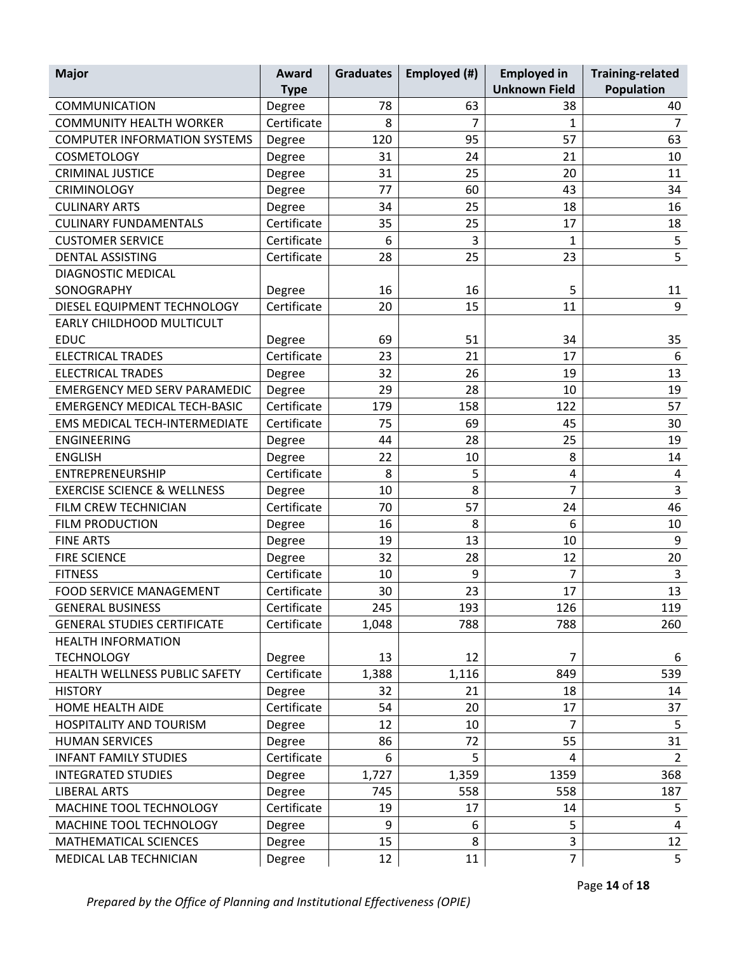| <b>Major</b>                           | Award       | <b>Graduates</b> | Employed (#) | <b>Employed in</b>   | <b>Training-related</b> |
|----------------------------------------|-------------|------------------|--------------|----------------------|-------------------------|
|                                        | <b>Type</b> |                  |              | <b>Unknown Field</b> | Population              |
| <b>COMMUNICATION</b>                   | Degree      | 78               | 63           | 38                   | 40                      |
| <b>COMMUNITY HEALTH WORKER</b>         | Certificate | 8                | 7            | 1                    | $\overline{7}$          |
| <b>COMPUTER INFORMATION SYSTEMS</b>    | Degree      | 120              | 95           | 57                   | 63                      |
| <b>COSMETOLOGY</b>                     | Degree      | 31               | 24           | 21                   | 10                      |
| <b>CRIMINAL JUSTICE</b>                | Degree      | 31               | 25           | 20                   | 11                      |
| <b>CRIMINOLOGY</b>                     | Degree      | 77               | 60           | 43                   | 34                      |
| <b>CULINARY ARTS</b>                   | Degree      | 34               | 25           | 18                   | 16                      |
| <b>CULINARY FUNDAMENTALS</b>           | Certificate | 35               | 25           | 17                   | 18                      |
| <b>CUSTOMER SERVICE</b>                | Certificate | 6                | 3            | $\mathbf{1}$         | $\mathsf S$             |
| <b>DENTAL ASSISTING</b>                | Certificate | 28               | 25           | 23                   | $\overline{5}$          |
| <b>DIAGNOSTIC MEDICAL</b>              |             |                  |              |                      |                         |
| SONOGRAPHY                             | Degree      | 16               | 16           | 5                    | 11                      |
| DIESEL EQUIPMENT TECHNOLOGY            | Certificate | 20               | 15           | 11                   | 9                       |
| <b>EARLY CHILDHOOD MULTICULT</b>       |             |                  |              |                      |                         |
| <b>EDUC</b>                            | Degree      | 69               | 51           | 34                   | 35                      |
| <b>ELECTRICAL TRADES</b>               | Certificate | 23               | 21           | 17                   | 6                       |
| <b>ELECTRICAL TRADES</b>               | Degree      | 32               | 26           | 19                   | 13                      |
| <b>EMERGENCY MED SERV PARAMEDIC</b>    | Degree      | 29               | 28           | 10                   | 19                      |
| <b>EMERGENCY MEDICAL TECH-BASIC</b>    | Certificate | 179              | 158          | 122                  | 57                      |
| EMS MEDICAL TECH-INTERMEDIATE          | Certificate | 75               | 69           | 45                   | 30                      |
| <b>ENGINEERING</b>                     | Degree      | 44               | 28           | 25                   | 19                      |
| <b>ENGLISH</b>                         | Degree      | 22               | 10           | 8                    | 14                      |
| ENTREPRENEURSHIP                       | Certificate | 8                | 5            | 4                    | 4                       |
| <b>EXERCISE SCIENCE &amp; WELLNESS</b> | Degree      | 10               | 8            | $\overline{7}$       | 3                       |
| FILM CREW TECHNICIAN                   | Certificate | 70               | 57           | 24                   | 46                      |
| <b>FILM PRODUCTION</b>                 | Degree      | 16               | 8            | 6                    | 10                      |
| <b>FINE ARTS</b>                       | Degree      | 19               | 13           | 10                   | $\boldsymbol{9}$        |
| <b>FIRE SCIENCE</b>                    | Degree      | 32               | 28           | 12                   | 20                      |
| <b>FITNESS</b>                         | Certificate | 10               | 9            | 7                    | 3                       |
| <b>FOOD SERVICE MANAGEMENT</b>         | Certificate | 30               | 23           | 17                   | 13                      |
| <b>GENERAL BUSINESS</b>                | Certificate | 245              | 193          | 126                  | 119                     |
| <b>GENERAL STUDIES CERTIFICATE</b>     | Certificate | 1,048            | 788          | 788                  | 260                     |
| <b>HEALTH INFORMATION</b>              |             |                  |              |                      |                         |
| <b>TECHNOLOGY</b>                      | Degree      | 13               | 12           | 7                    | 6                       |
| HEALTH WELLNESS PUBLIC SAFETY          | Certificate | 1,388            | 1,116        | 849                  | 539                     |
| <b>HISTORY</b>                         | Degree      | 32               | 21           | 18                   | 14                      |
| HOME HEALTH AIDE                       | Certificate | 54               | 20           | 17                   | 37                      |
| HOSPITALITY AND TOURISM                | Degree      | 12               | 10           | $\overline{7}$       | 5                       |
| <b>HUMAN SERVICES</b>                  | Degree      | 86               | 72           | 55                   | 31                      |
| <b>INFANT FAMILY STUDIES</b>           | Certificate | 6                | 5            | 4                    | $\overline{2}$          |
| <b>INTEGRATED STUDIES</b>              | Degree      | 1,727            | 1,359        | 1359                 | 368                     |
| <b>LIBERAL ARTS</b>                    | Degree      | 745              | 558          | 558                  | 187                     |
| MACHINE TOOL TECHNOLOGY                | Certificate | 19               | 17           | 14                   | 5                       |
| MACHINE TOOL TECHNOLOGY                | Degree      | 9                | 6            | 5                    | $\overline{4}$          |
| MATHEMATICAL SCIENCES                  | Degree      | 15               | 8            | $\overline{3}$       | 12                      |
| MEDICAL LAB TECHNICIAN                 | Degree      | 12               | 11           | $\overline{7}$       | 5                       |

*Prepared by the Office of Planning and Institutional Effectiveness (OPIE)*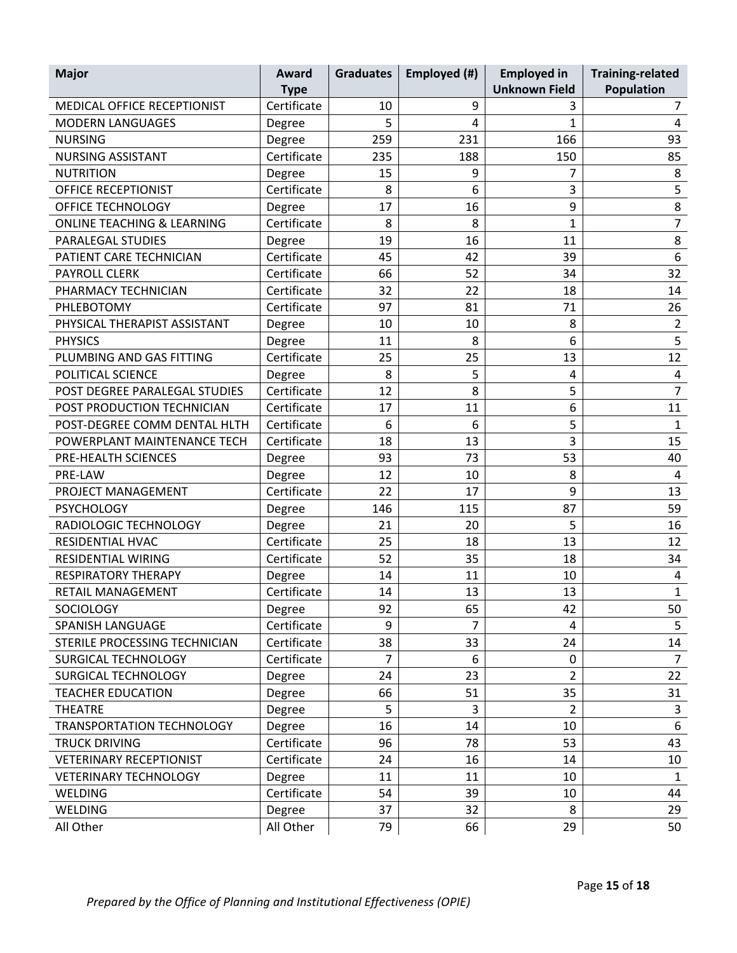| <b>Major</b>                          | Award       | <b>Graduates</b> | Employed (#) | <b>Employed in</b>   | <b>Training-related</b> |
|---------------------------------------|-------------|------------------|--------------|----------------------|-------------------------|
|                                       | <b>Type</b> |                  |              | <b>Unknown Field</b> | Population              |
| MEDICAL OFFICE RECEPTIONIST           | Certificate | 10               | 9            | 3                    | $\overline{7}$          |
| <b>MODERN LANGUAGES</b>               | Degree      | 5                | 4            | 1                    | 4                       |
| <b>NURSING</b>                        | Degree      | 259              | 231          | 166                  | 93                      |
| <b>NURSING ASSISTANT</b>              | Certificate | 235              | 188          | 150                  | 85                      |
| <b>NUTRITION</b>                      | Degree      | 15               | 9            | 7                    | 8                       |
| <b>OFFICE RECEPTIONIST</b>            | Certificate | 8                | 6            | 3                    | 5                       |
| OFFICE TECHNOLOGY                     | Degree      | 17               | 16           | 9                    | $\bf 8$                 |
| <b>ONLINE TEACHING &amp; LEARNING</b> | Certificate | 8                | 8            | 1                    | $\overline{7}$          |
| <b>PARALEGAL STUDIES</b>              | Degree      | 19               | 16           | 11                   | 8                       |
| PATIENT CARE TECHNICIAN               | Certificate | 45               | 42           | 39                   | $\boldsymbol{6}$        |
| <b>PAYROLL CLERK</b>                  | Certificate | 66               | 52           | 34                   | 32                      |
| PHARMACY TECHNICIAN                   | Certificate | 32               | 22           | 18                   | 14                      |
| PHLEBOTOMY                            | Certificate | 97               | 81           | 71                   | 26                      |
| PHYSICAL THERAPIST ASSISTANT          | Degree      | 10               | 10           | 8                    | $\overline{2}$          |
| <b>PHYSICS</b>                        | Degree      | 11               | 8            | 6                    | 5                       |
| PLUMBING AND GAS FITTING              | Certificate | 25               | 25           | 13                   | 12                      |
| POLITICAL SCIENCE                     | Degree      | 8                | 5            | 4                    | 4                       |
| POST DEGREE PARALEGAL STUDIES         | Certificate | 12               | 8            | 5                    | $\overline{7}$          |
| POST PRODUCTION TECHNICIAN            | Certificate | 17               | 11           | 6                    | 11                      |
| POST-DEGREE COMM DENTAL HLTH          | Certificate | 6                | 6            | 5                    | 1                       |
| POWERPLANT MAINTENANCE TECH           | Certificate | 18               | 13           | 3                    | 15                      |
| PRE-HEALTH SCIENCES                   | Degree      | 93               | 73           | 53                   | 40                      |
| PRE-LAW                               | Degree      | 12               | 10           | 8                    | 4                       |
| PROJECT MANAGEMENT                    | Certificate | 22               | 17           | 9                    | 13                      |
| <b>PSYCHOLOGY</b>                     | Degree      | 146              | 115          | 87                   | 59                      |
| RADIOLOGIC TECHNOLOGY                 | Degree      | 21               | 20           | 5                    | 16                      |
| RESIDENTIAL HVAC                      | Certificate | 25               | 18           | 13                   | 12                      |
| RESIDENTIAL WIRING                    | Certificate | 52               | 35           | 18                   | 34                      |
| <b>RESPIRATORY THERAPY</b>            | Degree      | 14               | 11           | 10                   | 4                       |
| RETAIL MANAGEMENT                     | Certificate | 14               | 13           | 13                   | $\mathbf{1}$            |
| <b>SOCIOLOGY</b>                      | Degree      | 92               | 65           | 42                   | 50                      |
| <b>SPANISH LANGUAGE</b>               | Certificate | 9                | 7            | 4                    | 5                       |
| STERILE PROCESSING TECHNICIAN         | Certificate | 38               | 33           | 24                   | 14                      |
| SURGICAL TECHNOLOGY                   | Certificate | $\overline{7}$   | 6            | 0                    | $\overline{7}$          |
| SURGICAL TECHNOLOGY                   | Degree      | 24               | 23           | $\overline{2}$       | 22                      |
| <b>TEACHER EDUCATION</b>              | Degree      | 66               | 51           | 35                   | 31                      |
| <b>THEATRE</b>                        | Degree      | 5                | 3            | $\overline{2}$       | 3                       |
| TRANSPORTATION TECHNOLOGY             | Degree      | 16               | 14           | 10                   | 6                       |
| <b>TRUCK DRIVING</b>                  | Certificate | 96               | 78           | 53                   | 43                      |
| <b>VETERINARY RECEPTIONIST</b>        | Certificate | 24               | 16           | 14                   | 10                      |
| <b>VETERINARY TECHNOLOGY</b>          | Degree      | 11               | 11           | 10                   | 1                       |
| WELDING                               | Certificate | 54               | 39           | 10                   | 44                      |
| WELDING                               | Degree      | 37               | 32           | 8                    | 29                      |
| All Other                             | All Other   | 79               | 66           | 29                   | 50                      |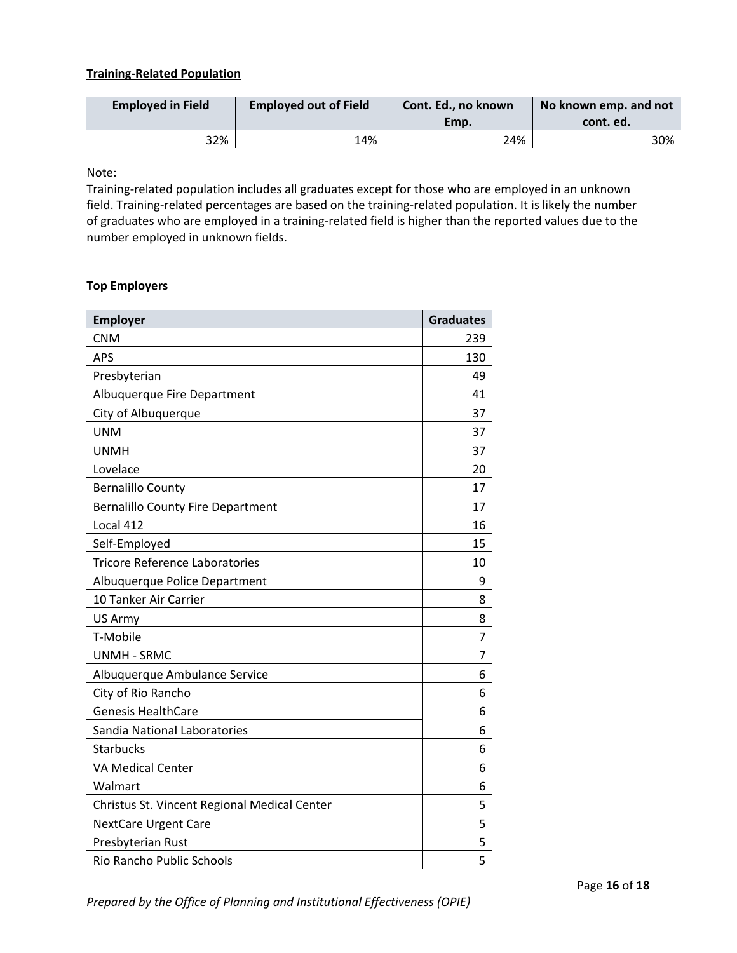### **Training‐Related Population**

| <b>Employed in Field</b> | <b>Employed out of Field</b> | Cont. Ed., no known<br>Emp. | No known emp. and not<br>cont. ed. |
|--------------------------|------------------------------|-----------------------------|------------------------------------|
| 32%                      | 14%                          | 24%                         | 30%                                |

Note:

Training‐related population includes all graduates except for those who are employed in an unknown field. Training-related percentages are based on the training-related population. It is likely the number of graduates who are employed in a training‐related field is higher than the reported values due to the number employed in unknown fields.

### **Top Employers**

| <b>Employer</b>                              | <b>Graduates</b> |
|----------------------------------------------|------------------|
| <b>CNM</b>                                   | 239              |
| <b>APS</b>                                   | 130              |
| Presbyterian                                 | 49               |
| Albuquerque Fire Department                  | 41               |
| City of Albuquerque                          | 37               |
| <b>UNM</b>                                   | 37               |
| <b>UNMH</b>                                  | 37               |
| Lovelace                                     | 20               |
| <b>Bernalillo County</b>                     | 17               |
| <b>Bernalillo County Fire Department</b>     | 17               |
| Local 412                                    | 16               |
| Self-Employed                                | 15               |
| <b>Tricore Reference Laboratories</b>        | 10               |
| Albuquerque Police Department                | 9                |
| 10 Tanker Air Carrier                        | 8                |
| US Army                                      | 8                |
| T-Mobile                                     | 7                |
| <b>UNMH - SRMC</b>                           | 7                |
| Albuquerque Ambulance Service                | 6                |
| City of Rio Rancho                           | 6                |
| <b>Genesis HealthCare</b>                    | 6                |
| Sandia National Laboratories                 | 6                |
| <b>Starbucks</b>                             | 6                |
| <b>VA Medical Center</b>                     | 6                |
| Walmart                                      | 6                |
| Christus St. Vincent Regional Medical Center | 5                |
| <b>NextCare Urgent Care</b>                  | 5                |
| Presbyterian Rust                            | $\overline{5}$   |
| Rio Rancho Public Schools                    | $\overline{5}$   |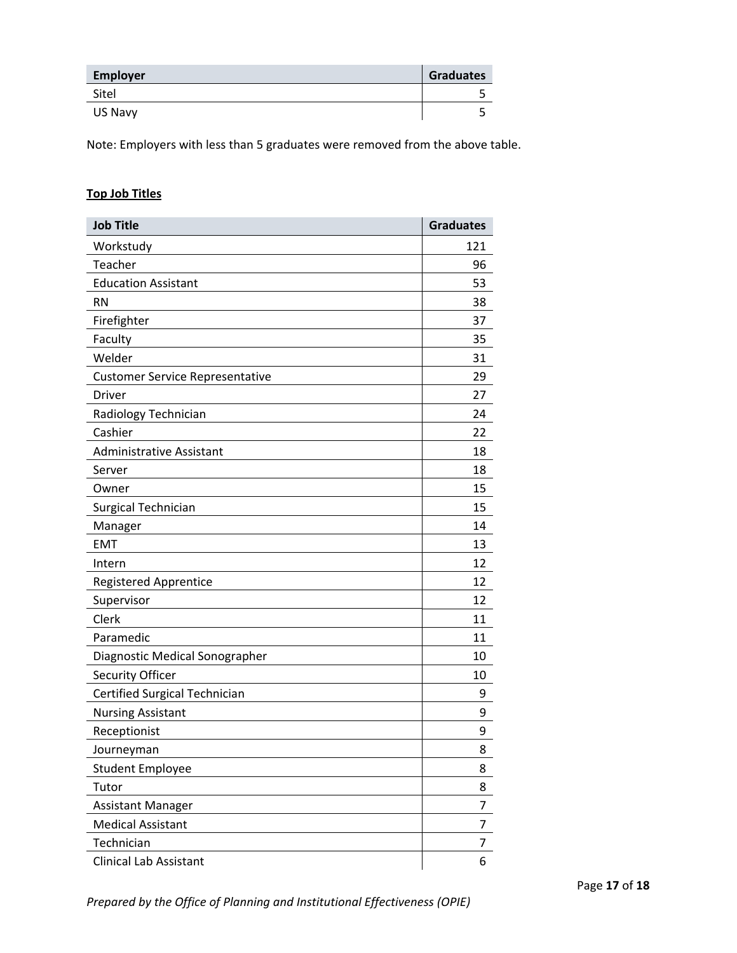| <b>Employer</b> | <b>Graduates</b> |
|-----------------|------------------|
| Sitel           |                  |
| US Navy         |                  |

Note: Employers with less than 5 graduates were removed from the above table.

# **Top Job Titles**

| <b>Job Title</b>                       | <b>Graduates</b> |
|----------------------------------------|------------------|
| Workstudy                              | 121              |
| Teacher                                | 96               |
| <b>Education Assistant</b>             | 53               |
| <b>RN</b>                              | 38               |
| Firefighter                            | 37               |
| Faculty                                | 35               |
| Welder                                 | 31               |
| <b>Customer Service Representative</b> | 29               |
| <b>Driver</b>                          | 27               |
| Radiology Technician                   | 24               |
| Cashier                                | 22               |
| <b>Administrative Assistant</b>        | 18               |
| Server                                 | 18               |
| Owner                                  | 15               |
| Surgical Technician                    | 15               |
| Manager                                | 14               |
| <b>EMT</b>                             | 13               |
| Intern                                 | 12               |
| <b>Registered Apprentice</b>           | 12               |
| Supervisor                             | 12               |
| Clerk                                  | 11               |
| Paramedic                              | 11               |
| Diagnostic Medical Sonographer         | 10               |
| Security Officer                       | 10               |
| Certified Surgical Technician          | 9                |
| <b>Nursing Assistant</b>               | 9                |
| Receptionist                           | 9                |
| Journeyman                             | 8                |
| <b>Student Employee</b>                | 8                |
| Tutor                                  | 8                |
| Assistant Manager                      | 7                |
| <b>Medical Assistant</b>               | 7                |
| Technician                             | 7                |
| <b>Clinical Lab Assistant</b>          | 6                |